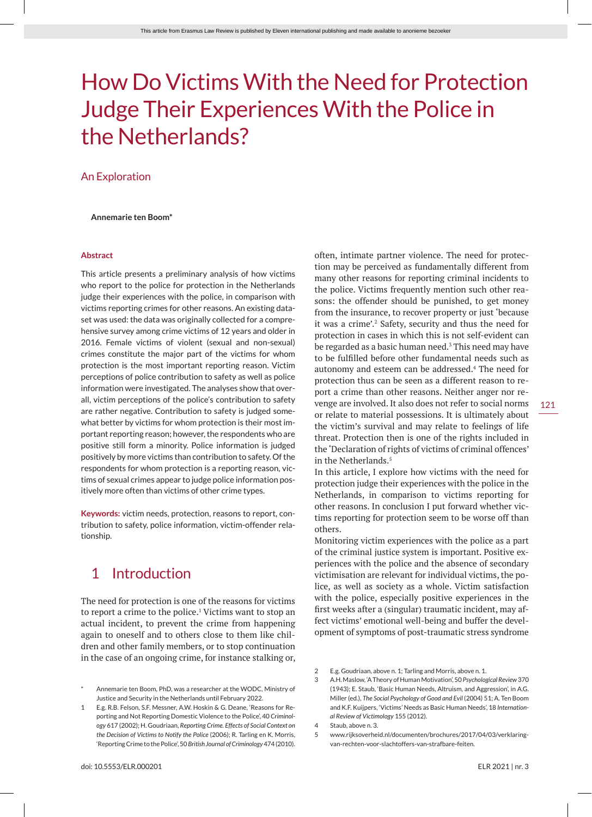# How Do Victims With the Need for Protection Judge Their Experiences With the Police in the Netherlands?

#### An Exploration

#### **Annemarie ten Boom\***

#### **Abstract**

This article presents a preliminary analysis of how victims who report to the police for protection in the Netherlands judge their experiences with the police, in comparison with victims reporting crimes for other reasons. An existing dataset was used: the data was originally collected for a comprehensive survey among crime victims of 12 years and older in 2016. Female victims of violent (sexual and non-sexual) crimes constitute the major part of the victims for whom protection is the most important reporting reason. Victim perceptions of police contribution to safety as well as police information were investigated. The analyses show that overall, victim perceptions of the police's contribution to safety are rather negative. Contribution to safety is judged somewhat better by victims for whom protection is their most important reporting reason; however, the respondents who are positive still form a minority. Police information is judged positively by more victims than contribution to safety. Of the respondents for whom protection is a reporting reason, victims of sexual crimes appear to judge police information positively more often than victims of other crime types.

**Keywords:** victim needs, protection, reasons to report, contribution to safety, police information, victim-offender relationship.

# 1 Introduction

The need for protection is one of the reasons for victims to report a crime to the police.<sup>1</sup> Victims want to stop an actual incident, to prevent the crime from happening again to oneself and to others close to them like children and other family members, or to stop continuation in the case of an ongoing crime, for instance stalking or,

often, intimate partner violence. The need for protection may be perceived as fundamentally different from many other reasons for reporting criminal incidents to the police. Victims frequently mention such other reasons: the offender should be punished, to get money from the insurance, to recover property or just 'because it was a crime'.<sup>2</sup> Safety, security and thus the need for protection in cases in which this is not self-evident can be regarded as a basic human need.<sup>3</sup> This need may have to be fulfilled before other fundamental needs such as autonomy and esteem can be addressed.<sup>4</sup> The need for protection thus can be seen as a different reason to report a crime than other reasons. Neither anger nor revenge are involved. It also does not refer to social norms or relate to material possessions. It is ultimately about the victim's survival and may relate to feelings of life threat. Protection then is one of the rights included in the 'Declaration of rights of victims of criminal offences' in the Netherlands.5

In this article, I explore how victims with the need for protection judge their experiences with the police in the Netherlands, in comparison to victims reporting for other reasons. In conclusion I put forward whether victims reporting for protection seem to be worse off than others.

Monitoring victim experiences with the police as a part of the criminal justice system is important. Positive experiences with the police and the absence of secondary victimisation are relevant for individual victims, the police, as well as society as a whole. Victim satisfaction with the police, especially positive experiences in the first weeks after a (singular) traumatic incident, may affect victims' emotional well-being and buffer the development of symptoms of post-traumatic stress syndrome

2 E.g. Goudriaan, above n. 1; Tarling and Morris, above n. 1.

5 www.rijksoverheid.nl/documenten/brochures/2017/04/03/verklaringvan-rechten-voor-slachtoffers-van-strafbare-feiten.

Annemarie ten Boom, PhD, was a researcher at the WODC, Ministry of Justice and Security in the Netherlands until February 2022.

<sup>1</sup> E.g. R.B. Felson, S.F. Messner, A.W. Hoskin & G. Deane, 'Reasons for Reporting and Not Reporting Domestic Violence to the Police', 40 *Criminology* 617 (2002); H. Goudriaan, *Reporting Crime. Effects of Social Context on the Decision of Victims to Notify the Police* (2006); R. Tarling en K. Morris, 'Reporting Crime to the Police', 50 *British Journal of Criminology* 474 (2010).

<sup>3</sup> A.H. Maslow, 'A Theory of Human Motivation', 50 *Psychological Review* 370 (1943); E. Staub, 'Basic Human Needs, Altruism, and Aggression', in A.G. Miller (ed.), *The Social Psychology of Good and Evil* (2004) 51; A. Ten Boom and K.F. Kuijpers, 'Victims' Needs as Basic Human Needs', 18 *International Review of Victimology* 155 (2012).

<sup>4</sup> Staub, above n. 3.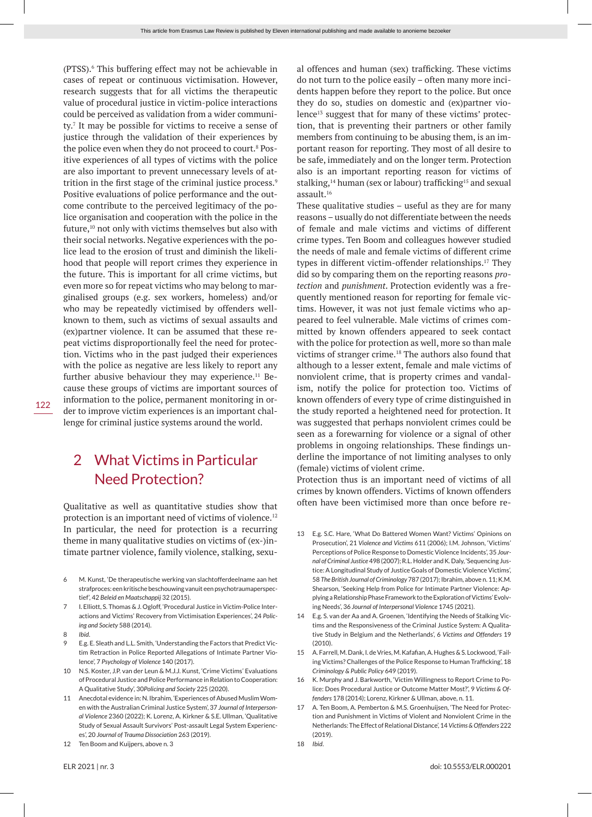(PTSS).<sup>6</sup> This buffering effect may not be achievable in cases of repeat or continuous victimisation. However, research suggests that for all victims the therapeutic value of procedural justice in victim-police interactions could be perceived as validation from a wider community.<sup>7</sup> It may be possible for victims to receive a sense of justice through the validation of their experiences by the police even when they do not proceed to court.<sup>8</sup> Positive experiences of all types of victims with the police are also important to prevent unnecessary levels of attrition in the first stage of the criminal justice process.<sup>9</sup> Positive evaluations of police performance and the outcome contribute to the perceived legitimacy of the police organisation and cooperation with the police in the future,<sup>10</sup> not only with victims themselves but also with their social networks. Negative experiences with the police lead to the erosion of trust and diminish the likelihood that people will report crimes they experience in the future. This is important for all crime victims, but even more so for repeat victims who may belong to marginalised groups (e.g. sex workers, homeless) and/or who may be repeatedly victimised by offenders wellknown to them, such as victims of sexual assaults and (ex)partner violence. It can be assumed that these repeat victims disproportionally feel the need for protection. Victims who in the past judged their experiences with the police as negative are less likely to report any further abusive behaviour they may experience.<sup>11</sup> Because these groups of victims are important sources of information to the police, permanent monitoring in order to improve victim experiences is an important challenge for criminal justice systems around the world.

# 2 What Victims in Particular Need Protection?

Qualitative as well as quantitative studies show that protection is an important need of victims of violence.<sup>12</sup> In particular, the need for protection is a recurring theme in many qualitative studies on victims of (ex-)intimate partner violence, family violence, stalking, sexu-

- 6 M. Kunst, 'De therapeutische werking van slachtofferdeelname aan het strafproces: een kritische beschouwing vanuit een psychotraumaperspectief', 42 *Beleid en Maatschappij* 32 (2015).
- 7 I. Elliott, S. Thomas & J. Ogloff, 'Procedural Justice in Victim-Police Interactions and Victims' Recovery from Victimisation Experiences', 24 *Policing and Society* 588 (2014).
- 8 *Ibid*.

122

- 9 E.g. E. Sleath and L.L. Smith, 'Understanding the Factors that Predict Victim Retraction in Police Reported Allegations of Intimate Partner Violence', 7 *Psychology of Violence* 140 (2017).
- 10 N.S. Koster, J.P. van der Leun & M.J.J. Kunst, 'Crime Victims' Evaluations of Procedural Justice and Police Performance in Relation to Cooperation: A Qualitative Study', 30*Policing and Society* 225 (2020).
- 11 Anecdotal evidence in: N. Ibrahim, 'Experiences of Abused Muslim Women with the Australian Criminal Justice System', 37 *Journal of Interpersonal Violence* 2360 (2022); K. Lorenz, A. Kirkner & S.E. Ullman, 'Qualitative Study of Sexual Assault Survivors' Post-assault Legal System Experiences', 20 *Journal of Trauma Dissociation* 263 (2019).
- 12 Ten Boom and Kuijpers, above n. 3

al offences and human (sex) trafficking. These victims do not turn to the police easily – often many more incidents happen before they report to the police. But once they do so, studies on domestic and (ex)partner violence<sup>13</sup> suggest that for many of these victims' protection, that is preventing their partners or other family members from continuing to be abusing them, is an important reason for reporting. They most of all desire to be safe, immediately and on the longer term. Protection also is an important reporting reason for victims of stalking,<sup>14</sup> human (sex or labour) trafficking<sup>15</sup> and sexual assault.16

These qualitative studies – useful as they are for many reasons – usually do not differentiate between the needs of female and male victims and victims of different crime types. Ten Boom and colleagues however studied the needs of male and female victims of different crime types in different victim-offender relationships.17 They did so by comparing them on the reporting reasons *protection* and *punishment*. Protection evidently was a frequently mentioned reason for reporting for female victims. However, it was not just female victims who appeared to feel vulnerable. Male victims of crimes committed by known offenders appeared to seek contact with the police for protection as well, more so than male victims of stranger crime.18 The authors also found that although to a lesser extent, female and male victims of nonviolent crime, that is property crimes and vandalism, notify the police for protection too. Victims of known offenders of every type of crime distinguished in the study reported a heightened need for protection. It was suggested that perhaps nonviolent crimes could be seen as a forewarning for violence or a signal of other problems in ongoing relationships. These findings underline the importance of not limiting analyses to only (female) victims of violent crime.

Protection thus is an important need of victims of all crimes by known offenders. Victims of known offenders often have been victimised more than once before re-

- 13 E.g. S.C. Hare, 'What Do Battered Women Want? Victims' Opinions on Prosecution', 21 *Violence and Victims* 611 (2006); I.M. Johnson, 'Victims' Perceptions of Police Response to Domestic Violence Incidents', 35 *Journal of Criminal Justice* 498 (2007); R.L. Holder and K. Daly, 'Sequencing Justice: A Longitudinal Study of Justice Goals of Domestic Violence Victims', 58 *The British Journal of Criminology* 787 (2017); Ibrahim, above n. 11; K.M. Shearson, 'Seeking Help from Police for Intimate Partner Violence: Applying a Relationship Phase Framework to the Exploration of Victims' Evolving Needs', 36 *Journal of Interpersonal Violence* 1745 (2021).
- 14 E.g. S. van der Aa and A. Groenen, 'Identifying the Needs of Stalking Victims and the Responsiveness of the Criminal Justice System: A Qualitative Study in Belgium and the Netherlands', 6 *Victims and Offenders* 19  $(2010)$
- 15 A. Farrell, M. Dank, I. de Vries, M. Kafafian, A. Hughes & S. Lockwood, 'Failing Victims? Challenges of the Police Response to Human Trafficking', 18 *Criminology & Public Policy* 649 (2019).
- 16 K. Murphy and J. Barkworth, 'Victim Willingness to Report Crime to Police: Does Procedural Justice or Outcome Matter Most?', 9 *Victims & Offenders* 178 (2014); Lorenz, Kirkner & Ullman, above, n. 11.
- 17 A. Ten Boom, A. Pemberton & M.S. Groenhuijsen, 'The Need for Protection and Punishment in Victims of Violent and Nonviolent Crime in the Netherlands: The Effect of Relational Distance', 14 *Victims & Offenders* 222 (2019).
- 18 *Ibid*.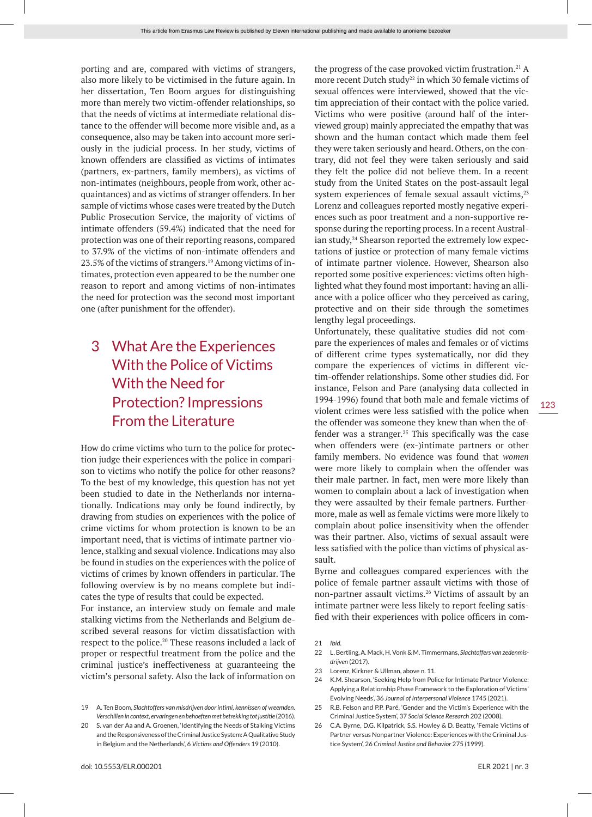porting and are, compared with victims of strangers, also more likely to be victimised in the future again. In her dissertation, Ten Boom argues for distinguishing more than merely two victim-offender relationships, so that the needs of victims at intermediate relational distance to the offender will become more visible and, as a consequence, also may be taken into account more seriously in the judicial process. In her study, victims of known offenders are classified as victims of intimates (partners, ex-partners, family members), as victims of non-intimates (neighbours, people from work, other acquaintances) and as victims of stranger offenders. In her sample of victims whose cases were treated by the Dutch Public Prosecution Service, the majority of victims of intimate offenders (59.4%) indicated that the need for protection was one of their reporting reasons, compared to 37.9% of the victims of non-intimate offenders and 23.5% of the victims of strangers.<sup>19</sup> Among victims of intimates, protection even appeared to be the number one reason to report and among victims of non-intimates the need for protection was the second most important one (after punishment for the offender).

# 3 What Are the Experiences With the Police of Victims With the Need for Protection? Impressions From the Literature

How do crime victims who turn to the police for protection judge their experiences with the police in comparison to victims who notify the police for other reasons? To the best of my knowledge, this question has not yet been studied to date in the Netherlands nor internationally. Indications may only be found indirectly, by drawing from studies on experiences with the police of crime victims for whom protection is known to be an important need, that is victims of intimate partner violence, stalking and sexual violence. Indications may also be found in studies on the experiences with the police of victims of crimes by known offenders in particular. The following overview is by no means complete but indicates the type of results that could be expected.

For instance, an interview study on female and male stalking victims from the Netherlands and Belgium described several reasons for victim dissatisfaction with respect to the police.20 These reasons included a lack of proper or respectful treatment from the police and the criminal justice's ineffectiveness at guaranteeing the victim's personal safety. Also the lack of information on

the progress of the case provoked victim frustration.<sup>21</sup> A more recent Dutch study<sup>22</sup> in which 30 female victims of sexual offences were interviewed, showed that the victim appreciation of their contact with the police varied. Victims who were positive (around half of the interviewed group) mainly appreciated the empathy that was shown and the human contact which made them feel they were taken seriously and heard. Others, on the contrary, did not feel they were taken seriously and said they felt the police did not believe them. In a recent study from the United States on the post-assault legal system experiences of female sexual assault victims,<sup>23</sup> Lorenz and colleagues reported mostly negative experiences such as poor treatment and a non-supportive response during the reporting process. In a recent Australian study,<sup>24</sup> Shearson reported the extremely low expectations of justice or protection of many female victims of intimate partner violence. However, Shearson also reported some positive experiences: victims often highlighted what they found most important: having an alliance with a police officer who they perceived as caring, protective and on their side through the sometimes lengthy legal proceedings.

Unfortunately, these qualitative studies did not compare the experiences of males and females or of victims of different crime types systematically, nor did they compare the experiences of victims in different victim-offender relationships. Some other studies did. For instance, Felson and Pare (analysing data collected in 1994-1996) found that both male and female victims of violent crimes were less satisfied with the police when the offender was someone they knew than when the offender was a stranger. $25$  This specifically was the case when offenders were (ex-)intimate partners or other family members. No evidence was found that *women* were more likely to complain when the offender was their male partner. In fact, men were more likely than women to complain about a lack of investigation when they were assaulted by their female partners. Furthermore, male as well as female victims were more likely to complain about police insensitivity when the offender was their partner. Also, victims of sexual assault were less satisfied with the police than victims of physical assault.

Byrne and colleagues compared experiences with the police of female partner assault victims with those of non-partner assault victims.26 Victims of assault by an intimate partner were less likely to report feeling satisfied with their experiences with police officers in com-

<sup>19</sup> A. Ten Boom, *Slachtoffers van misdrijven door intimi, kennissen of vreemden. Verschillen in context, ervaringen en behoeften met betrekking tot justitie* (2016).

<sup>20</sup> S. van der Aa and A. Groenen, 'Identifying the Needs of Stalking Victims and the Responsiveness of the Criminal Justice System: A Qualitative Study in Belgium and the Netherlands', 6 *Victims and Offenders* 19 (2010).

<sup>21</sup> *Ibid*.

<sup>22</sup> L. Bertling, A. Mack, H. Vonk & M. Timmermans, *Slachtoffers van zedenmisdrijven* (2017).

<sup>23</sup> Lorenz, Kirkner & Ullman, above n. 11.

<sup>24</sup> K.M. Shearson, 'Seeking Help from Police for Intimate Partner Violence: Applying a Relationship Phase Framework to the Exploration of Victims' Evolving Needs', 36 *Journal of Interpersonal Violence* 1745 (2021).

<sup>25</sup> R.B. Felson and P.P. Paré, 'Gender and the Victim's Experience with the Criminal Justice System', 37 *Social Science Research* 202 (2008).

<sup>26</sup> C.A. Byrne, D.G. Kilpatrick, S.S. Howley & D. Beatty, 'Female Victims of Partner versus Nonpartner Violence: Experiences with the Criminal Justice System', 26 *Criminal Justice and Behavior* 275 (1999).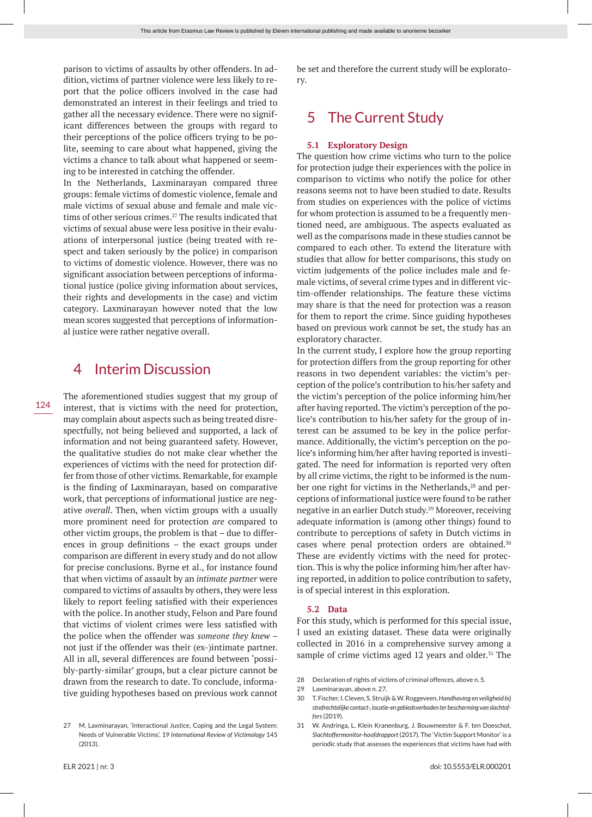parison to victims of assaults by other offenders. In addition, victims of partner violence were less likely to report that the police officers involved in the case had demonstrated an interest in their feelings and tried to gather all the necessary evidence. There were no significant differences between the groups with regard to their perceptions of the police officers trying to be polite, seeming to care about what happened, giving the victims a chance to talk about what happened or seeming to be interested in catching the offender.

In the Netherlands, Laxminarayan compared three groups: female victims of domestic violence, female and male victims of sexual abuse and female and male victims of other serious crimes.<sup>27</sup> The results indicated that victims of sexual abuse were less positive in their evaluations of interpersonal justice (being treated with respect and taken seriously by the police) in comparison to victims of domestic violence. However, there was no significant association between perceptions of informational justice (police giving information about services, their rights and developments in the case) and victim category. Laxminarayan however noted that the low mean scores suggested that perceptions of informational justice were rather negative overall.

### 4 Interim Discussion

The aforementioned studies suggest that my group of interest, that is victims with the need for protection, may complain about aspects such as being treated disrespectfully, not being believed and supported, a lack of information and not being guaranteed safety. However, the qualitative studies do not make clear whether the experiences of victims with the need for protection differ from those of other victims. Remarkable, for example is the finding of Laxminarayan, based on comparative work, that perceptions of informational justice are negative *overall*. Then, when victim groups with a usually more prominent need for protection *are* compared to other victim groups, the problem is that – due to differences in group definitions – the exact groups under comparison are different in every study and do not allow for precise conclusions. Byrne et al., for instance found that when victims of assault by an *intimate partner* were compared to victims of assaults by others, they were less likely to report feeling satisfied with their experiences with the police. In another study, Felson and Pare found that victims of violent crimes were less satisfied with the police when the offender was *someone they knew* – not just if the offender was their (ex-)intimate partner. All in all, several differences are found between 'possibly-partly-similar' groups, but a clear picture cannot be drawn from the research to date. To conclude, informative guiding hypotheses based on previous work cannot

be set and therefore the current study will be exploratory.

# 5 The Current Study

#### **5.1 Exploratory Design**

The question how crime victims who turn to the police for protection judge their experiences with the police in comparison to victims who notify the police for other reasons seems not to have been studied to date. Results from studies on experiences with the police of victims for whom protection is assumed to be a frequently mentioned need, are ambiguous. The aspects evaluated as well as the comparisons made in these studies cannot be compared to each other. To extend the literature with studies that allow for better comparisons, this study on victim judgements of the police includes male and female victims, of several crime types and in different victim-offender relationships. The feature these victims may share is that the need for protection was a reason for them to report the crime. Since guiding hypotheses based on previous work cannot be set, the study has an exploratory character.

In the current study, I explore how the group reporting for protection differs from the group reporting for other reasons in two dependent variables: the victim's perception of the police's contribution to his/her safety and the victim's perception of the police informing him/her after having reported. The victim's perception of the police's contribution to his/her safety for the group of interest can be assumed to be key in the police performance. Additionally, the victim's perception on the police's informing him/her after having reported is investigated. The need for information is reported very often by all crime victims, the right to be informed is the number one right for victims in the Netherlands,<sup>28</sup> and perceptions of informational justice were found to be rather negative in an earlier Dutch study.29 Moreover, receiving adequate information is (among other things) found to contribute to perceptions of safety in Dutch victims in cases where penal protection orders are obtained.<sup>30</sup> These are evidently victims with the need for protection. This is why the police informing him/her after having reported, in addition to police contribution to safety, is of special interest in this exploration.

#### **5.2 Data**

For this study, which is performed for this special issue, I used an existing dataset. These data were originally collected in 2016 in a comprehensive survey among a sample of crime victims aged 12 years and older.<sup>31</sup> The

- 28 Declaration of rights of victims of criminal offences, above n. 5.
- 29 Laxminarayan, above n. 27.
- 30 T. Fischer, I. Cleven, S. Struijk & W. Roggeveen, *Handhaving en veiligheid bij strafrechtelijke contact-, locatie-en gebiedsverboden ter bescherming van slachtoffers* (2019).
- 31 W. Andringa, L. Klein Kranenburg, J. Bouwmeester & F. ten Doeschot, *Slachtoffermonitor-hoofdrapport* (2017). The 'Victim Support Monitor' is a periodic study that assesses the experiences that victims have had with

<sup>27</sup> M. Laxminarayan, 'Interactional Justice, Coping and the Legal System: Needs of Vulnerable Victims', 19 *International Review of Victimology* 145 (2013).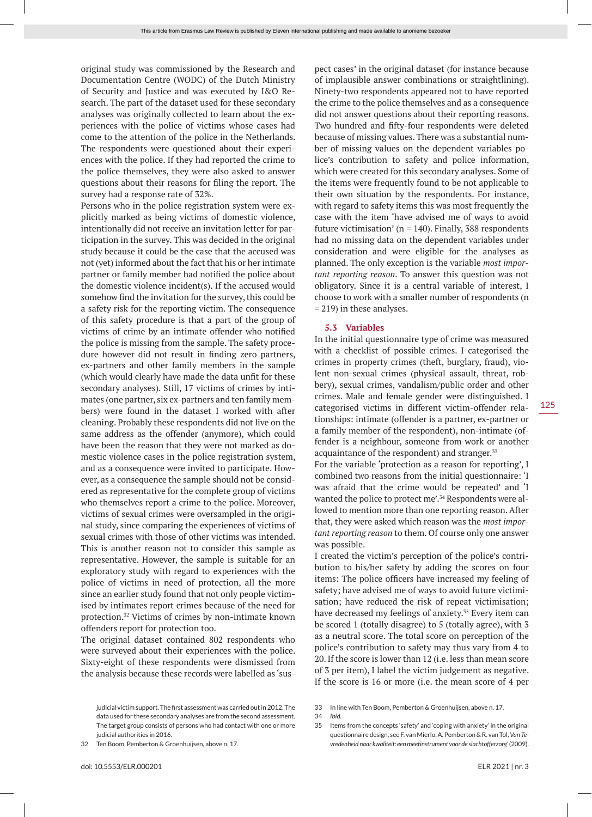original study was commissioned by the Research and Documentation Centre (WODC) of the Dutch Ministry of Security and Justice and was executed by I&O Research. The part of the dataset used for these secondary analyses was originally collected to learn about the experiences with the police of victims whose cases had come to the attention of the police in the Netherlands. The respondents were questioned about their experiences with the police. If they had reported the crime to the police themselves, they were also asked to answer questions about their reasons for filing the report. The survey had a response rate of 32%.

Persons who in the police registration system were explicitly marked as being victims of domestic violence, intentionally did not receive an invitation letter for participation in the survey. This was decided in the original study because it could be the case that the accused was not (yet) informed about the fact that his or her intimate partner or family member had notified the police about the domestic violence incident(s). If the accused would somehow find the invitation for the survey, this could be a safety risk for the reporting victim. The consequence of this safety procedure is that a part of the group of victims of crime by an intimate offender who notified the police is missing from the sample. The safety procedure however did not result in finding zero partners, ex-partners and other family members in the sample (which would clearly have made the data unfit for these secondary analyses). Still, 17 victims of crimes by intimates (one partner, six ex-partners and ten family members) were found in the dataset I worked with after cleaning. Probably these respondents did not live on the same address as the offender (anymore), which could have been the reason that they were not marked as domestic violence cases in the police registration system, and as a consequence were invited to participate. However, as a consequence the sample should not be considered as representative for the complete group of victims who themselves report a crime to the police. Moreover, victims of sexual crimes were oversampled in the original study, since comparing the experiences of victims of sexual crimes with those of other victims was intended. This is another reason not to consider this sample as representative. However, the sample is suitable for an exploratory study with regard to experiences with the police of victims in need of protection, all the more since an earlier study found that not only people victimised by intimates report crimes because of the need for protection.32 Victims of crimes by non-intimate known offenders report for protection too.

The original dataset contained 802 respondents who were surveyed about their experiences with the police. Sixty-eight of these respondents were dismissed from the analysis because these records were labelled as 'suspect cases' in the original dataset (for instance because of implausible answer combinations or straightlining). Ninety-two respondents appeared not to have reported the crime to the police themselves and as a consequence did not answer questions about their reporting reasons. Two hundred and fifty-four respondents were deleted because of missing values. There was a substantial number of missing values on the dependent variables police's contribution to safety and police information, which were created for this secondary analyses. Some of the items were frequently found to be not applicable to their own situation by the respondents. For instance, with regard to safety items this was most frequently the case with the item 'have advised me of ways to avoid future victimisation' ( $n = 140$ ). Finally, 388 respondents had no missing data on the dependent variables under consideration and were eligible for the analyses as planned. The only exception is the variable *most important reporting reason*. To answer this question was not obligatory. Since it is a central variable of interest, I choose to work with a smaller number of respondents (n = 219) in these analyses.

#### **5.3 Variables**

In the initial questionnaire type of crime was measured with a checklist of possible crimes. I categorised the crimes in property crimes (theft, burglary, fraud), violent non-sexual crimes (physical assault, threat, robbery), sexual crimes, vandalism/public order and other crimes. Male and female gender were distinguished. I categorised victims in different victim-offender relationships: intimate (offender is a partner, ex-partner or a family member of the respondent), non-intimate (offender is a neighbour, someone from work or another acquaintance of the respondent) and stranger.<sup>33</sup>

For the variable 'protection as a reason for reporting', I combined two reasons from the initial questionnaire: 'I was afraid that the crime would be repeated' and 'I wanted the police to protect me'.34 Respondents were allowed to mention more than one reporting reason. After that, they were asked which reason was the *most important reporting reason* to them. Of course only one answer was possible.

I created the victim's perception of the police's contribution to his/her safety by adding the scores on four items: The police officers have increased my feeling of safety; have advised me of ways to avoid future victimisation; have reduced the risk of repeat victimisation; have decreased my feelings of anxiety.<sup>35</sup> Every item can be scored 1 (totally disagree) to 5 (totally agree), with 3 as a neutral score. The total score on perception of the police's contribution to safety may thus vary from 4 to 20. If the score is lower than 12 (i.e. less than mean score of 3 per item), I label the victim judgement as negative. If the score is 16 or more (i.e. the mean score of 4 per

judicial victim support. The first assessment was carried out in 2012. The data used for these secondary analyses are from the second assessment. The target group consists of persons who had contact with one or more judicial authorities in 2016.

<sup>32</sup> Ten Boom, Pemberton & Groenhuijsen, above n. 17.

<sup>33</sup> In line with Ten Boom, Pemberton & Groenhuijsen, above n. 17.

<sup>34</sup> *Ibid*.

<sup>35</sup> Items from the concepts 'safety' and 'coping with anxiety' in the original questionnaire design, see F. van Mierlo, A. Pemberton & R. van Tol, *Van Tevredenheid naar kwaliteit: een meetinstrument voor de slachtofferzorg'* (2009).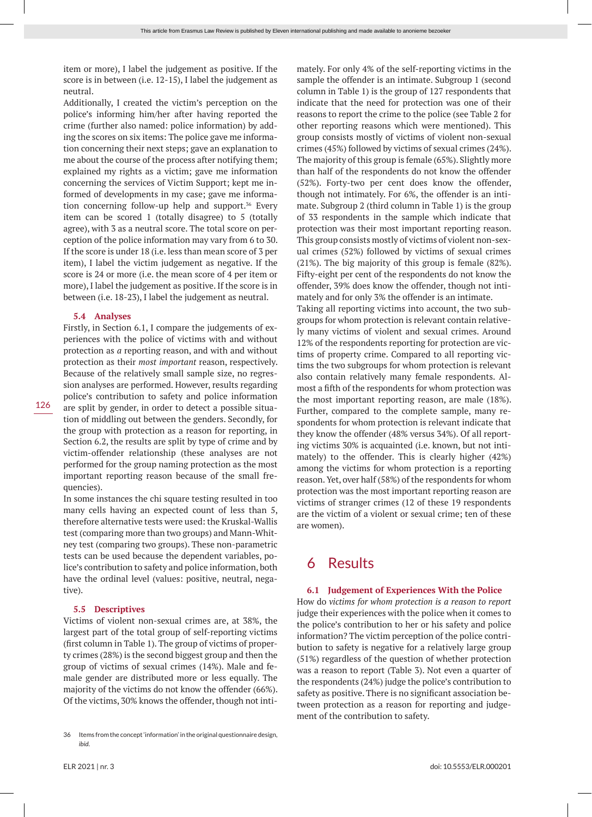item or more), I label the judgement as positive. If the score is in between (i.e. 12-15), I label the judgement as neutral.

Additionally, I created the victim's perception on the police's informing him/her after having reported the crime (further also named: police information) by adding the scores on six items: The police gave me information concerning their next steps; gave an explanation to me about the course of the process after notifying them; explained my rights as a victim; gave me information concerning the services of Victim Support; kept me informed of developments in my case; gave me information concerning follow-up help and support.<sup>36</sup> Every item can be scored 1 (totally disagree) to 5 (totally agree), with 3 as a neutral score. The total score on perception of the police information may vary from 6 to 30. If the score is under 18 (i.e. less than mean score of 3 per item), I label the victim judgement as negative. If the score is 24 or more (i.e. the mean score of 4 per item or more), I label the judgement as positive. If the score is in between (i.e. 18-23), I label the judgement as neutral.

#### **5.4 Analyses**

Firstly, in Section 6.1, I compare the judgements of experiences with the police of victims with and without protection as *a* reporting reason, and with and without protection as their *most important* reason, respectively. Because of the relatively small sample size, no regression analyses are performed. However, results regarding police's contribution to safety and police information are split by gender, in order to detect a possible situation of middling out between the genders. Secondly, for the group with protection as a reason for reporting, in Section 6.2, the results are split by type of crime and by victim-offender relationship (these analyses are not performed for the group naming protection as the most important reporting reason because of the small frequencies).

In some instances the chi square testing resulted in too many cells having an expected count of less than 5, therefore alternative tests were used: the Kruskal-Wallis test (comparing more than two groups) and Mann-Whitney test (comparing two groups). These non-parametric tests can be used because the dependent variables, police's contribution to safety and police information, both have the ordinal level (values: positive, neutral, negative).

#### **5.5 Descriptives**

Victims of violent non-sexual crimes are, at 38%, the largest part of the total group of self-reporting victims (first column in Table 1). The group of victims of property crimes (28%) is the second biggest group and then the group of victims of sexual crimes (14%). Male and female gender are distributed more or less equally. The majority of the victims do not know the offender (66%). Of the victims, 30% knows the offender, though not intimately. For only 4% of the self-reporting victims in the sample the offender is an intimate. Subgroup 1 (second column in Table 1) is the group of 127 respondents that indicate that the need for protection was one of their reasons to report the crime to the police (see Table 2 for other reporting reasons which were mentioned). This group consists mostly of victims of violent non-sexual crimes (45%) followed by victims of sexual crimes (24%). The majority of this group is female (65%). Slightly more than half of the respondents do not know the offender (52%). Forty-two per cent does know the offender, though not intimately. For 6%, the offender is an intimate. Subgroup 2 (third column in Table 1) is the group of 33 respondents in the sample which indicate that protection was their most important reporting reason. This group consists mostly of victims of violent non-sexual crimes (52%) followed by victims of sexual crimes (21%). The big majority of this group is female (82%). Fifty-eight per cent of the respondents do not know the offender, 39% does know the offender, though not intimately and for only 3% the offender is an intimate.

Taking all reporting victims into account, the two subgroups for whom protection is relevant contain relatively many victims of violent and sexual crimes. Around 12% of the respondents reporting for protection are victims of property crime. Compared to all reporting victims the two subgroups for whom protection is relevant also contain relatively many female respondents. Almost a fifth of the respondents for whom protection was the most important reporting reason, are male (18%). Further, compared to the complete sample, many respondents for whom protection is relevant indicate that they know the offender (48% versus 34%). Of all reporting victims 30% is acquainted (i.e. known, but not intimately) to the offender. This is clearly higher (42%) among the victims for whom protection is a reporting reason. Yet, over half (58%) of the respondents for whom protection was the most important reporting reason are victims of stranger crimes (12 of these 19 respondents are the victim of a violent or sexual crime; ten of these are women).

### 6 Results

#### **6.1 Judgement of Experiences With the Police**

How do *victims for whom protection is a reason to report* judge their experiences with the police when it comes to the police's contribution to her or his safety and police information? The victim perception of the police contribution to safety is negative for a relatively large group (51%) regardless of the question of whether protection was a reason to report (Table 3). Not even a quarter of the respondents (24%) judge the police's contribution to safety as positive. There is no significant association between protection as a reason for reporting and judgement of the contribution to safety.

126

<sup>36</sup> Items from the concept 'information' in the original questionnaire design, *ibid*.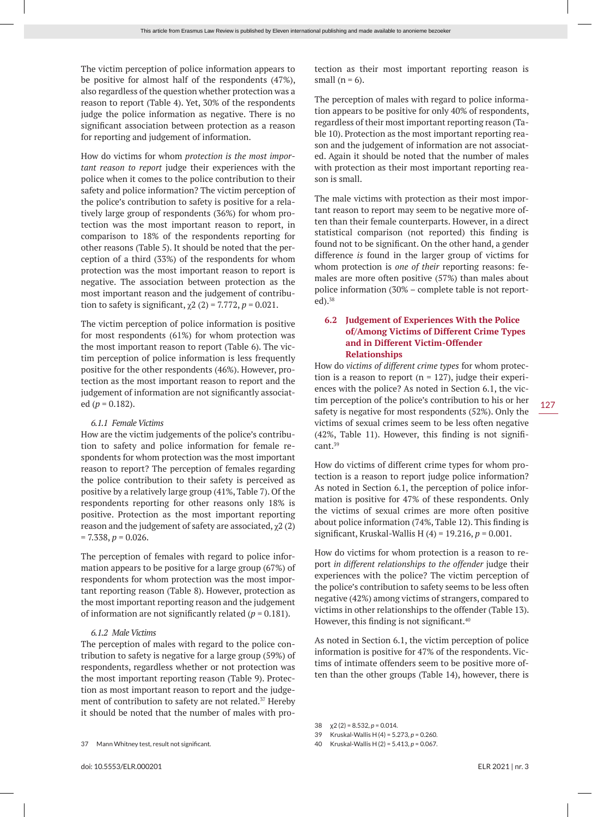The victim perception of police information appears to be positive for almost half of the respondents (47%), also regardless of the question whether protection was a reason to report (Table 4). Yet, 30% of the respondents judge the police information as negative. There is no significant association between protection as a reason for reporting and judgement of information.

How do victims for whom *protection is the most important reason to report* judge their experiences with the police when it comes to the police contribution to their safety and police information? The victim perception of the police's contribution to safety is positive for a relatively large group of respondents (36%) for whom protection was the most important reason to report, in comparison to 18% of the respondents reporting for other reasons (Table 5). It should be noted that the perception of a third (33%) of the respondents for whom protection was the most important reason to report is negative. The association between protection as the most important reason and the judgement of contribution to safety is significant,  $\chi$ 2 (2) = 7.772, *p* = 0.021.

The victim perception of police information is positive for most respondents (61%) for whom protection was the most important reason to report (Table 6). The victim perception of police information is less frequently positive for the other respondents (46%). However, protection as the most important reason to report and the judgement of information are not significantly associated ( $p = 0.182$ ).

#### *6.1.1 Female Victims*

How are the victim judgements of the police's contribution to safety and police information for female respondents for whom protection was the most important reason to report? The perception of females regarding the police contribution to their safety is perceived as positive by a relatively large group (41%, Table 7). Of the respondents reporting for other reasons only 18% is positive. Protection as the most important reporting reason and the judgement of safety are associated,  $\chi$ 2 (2)  $= 7.338, p = 0.026.$ 

The perception of females with regard to police information appears to be positive for a large group (67%) of respondents for whom protection was the most important reporting reason (Table 8). However, protection as the most important reporting reason and the judgement of information are not significantly related  $(p = 0.181)$ .

#### *6.1.2 Male Victims*

The perception of males with regard to the police contribution to safety is negative for a large group (59%) of respondents, regardless whether or not protection was the most important reporting reason (Table 9). Protection as most important reason to report and the judgement of contribution to safety are not related.<sup>37</sup> Hereby it should be noted that the number of males with pro-

37 Mann Whitney test, result not significant.

tection as their most important reporting reason is small  $(n = 6)$ .

The perception of males with regard to police information appears to be positive for only 40% of respondents, regardless of their most important reporting reason (Table 10). Protection as the most important reporting reason and the judgement of information are not associated. Again it should be noted that the number of males with protection as their most important reporting reason is small.

The male victims with protection as their most important reason to report may seem to be negative more often than their female counterparts. However, in a direct statistical comparison (not reported) this finding is found not to be significant. On the other hand, a gender difference *is* found in the larger group of victims for whom protection is *one of their* reporting reasons: females are more often positive (57%) than males about police information (30% – complete table is not reported).38

#### **6.2 Judgement of Experiences With the Police of/Among Victims of Different Crime Types and in Different Victim-Offender Relationships**

How do *victims of different crime types* for whom protection is a reason to report ( $n = 127$ ), judge their experiences with the police? As noted in Section 6.1, the victim perception of the police's contribution to his or her safety is negative for most respondents (52%). Only the victims of sexual crimes seem to be less often negative (42%, Table 11). However, this finding is not significant.39

How do victims of different crime types for whom protection is a reason to report judge police information? As noted in Section 6.1, the perception of police information is positive for 47% of these respondents. Only the victims of sexual crimes are more often positive about police information (74%, Table 12). This finding is significant, Kruskal-Wallis H (4) = 19.216, *p* = 0.001.

How do victims for whom protection is a reason to report *in different relationships to the offender* judge their experiences with the police? The victim perception of the police's contribution to safety seems to be less often negative (42%) among victims of strangers, compared to victims in other relationships to the offender (Table 13). However, this finding is not significant.<sup>40</sup>

As noted in Section 6.1, the victim perception of police information is positive for 47% of the respondents. Victims of intimate offenders seem to be positive more often than the other groups (Table 14), however, there is

38 χ2 (2) = 8.532, *p* = 0.014.

40 Kruskal-Wallis H (2) = 5.413, *p* = 0.067.

<sup>39</sup> Kruskal-Wallis H (4) = 5.273, *p* = 0.260.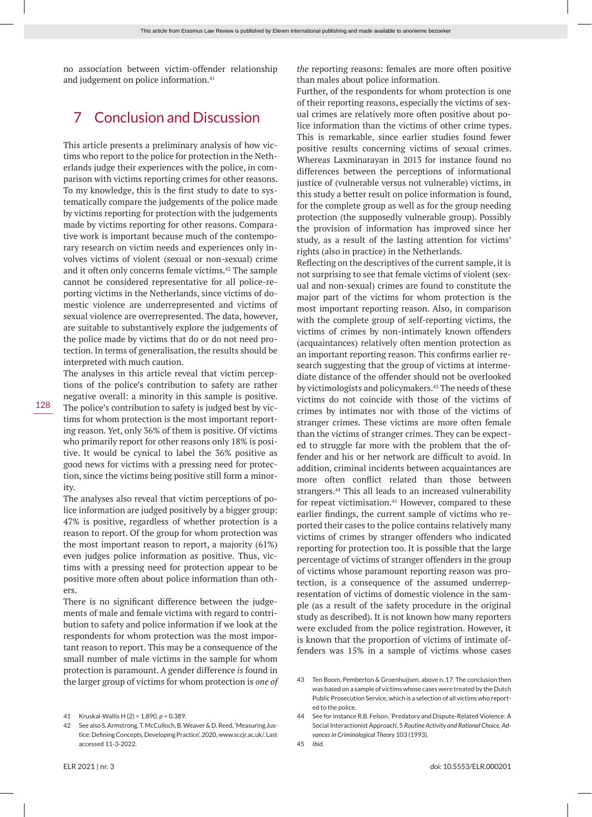no association between victim-offender relationship and judgement on police information.<sup>41</sup>

# 7 Conclusion and Discussion

This article presents a preliminary analysis of how victims who report to the police for protection in the Netherlands judge their experiences with the police, in comparison with victims reporting crimes for other reasons. To my knowledge, this is the first study to date to systematically compare the judgements of the police made by victims reporting for protection with the judgements made by victims reporting for other reasons. Comparative work is important because much of the contemporary research on victim needs and experiences only involves victims of violent (sexual or non-sexual) crime and it often only concerns female victims.<sup>42</sup> The sample cannot be considered representative for all police-reporting victims in the Netherlands, since victims of domestic violence are underrepresented and victims of sexual violence are overrepresented. The data, however, are suitable to substantively explore the judgements of the police made by victims that do or do not need protection. In terms of generalisation, the results should be interpreted with much caution.

The analyses in this article reveal that victim perceptions of the police's contribution to safety are rather negative overall: a minority in this sample is positive. The police's contribution to safety is judged best by victims for whom protection is the most important reporting reason. Yet, only 36% of them is positive. Of victims who primarily report for other reasons only 18% is positive. It would be cynical to label the 36% positive as good news for victims with a pressing need for protection, since the victims being positive still form a minority.

The analyses also reveal that victim perceptions of police information are judged positively by a bigger group: 47% is positive, regardless of whether protection is a reason to report. Of the group for whom protection was the most important reason to report, a majority (61%) even judges police information as positive. Thus, victims with a pressing need for protection appear to be positive more often about police information than others.

There is no significant difference between the judgements of male and female victims with regard to contribution to safety and police information if we look at the respondents for whom protection was the most important reason to report. This may be a consequence of the small number of male victims in the sample for whom protection is paramount. A gender difference *is* found in the larger group of victims for whom protection is *one of*  *the* reporting reasons: females are more often positive than males about police information.

Further, of the respondents for whom protection is one of their reporting reasons, especially the victims of sexual crimes are relatively more often positive about police information than the victims of other crime types. This is remarkable, since earlier studies found fewer positive results concerning victims of sexual crimes. Whereas Laxminarayan in 2013 for instance found no differences between the perceptions of informational justice of (vulnerable versus not vulnerable) victims, in this study a better result on police information is found, for the complete group as well as for the group needing protection (the supposedly vulnerable group). Possibly the provision of information has improved since her study, as a result of the lasting attention for victims' rights (also in practice) in the Netherlands.

Reflecting on the descriptives of the current sample, it is not surprising to see that female victims of violent (sexual and non-sexual) crimes are found to constitute the major part of the victims for whom protection is the most important reporting reason. Also, in comparison with the complete group of self-reporting victims, the victims of crimes by non-intimately known offenders (acquaintances) relatively often mention protection as an important reporting reason. This confirms earlier research suggesting that the group of victims at intermediate distance of the offender should not be overlooked by victimologists and policymakers.43 The needs of these victims do not coincide with those of the victims of crimes by intimates nor with those of the victims of stranger crimes. These victims are more often female than the victims of stranger crimes. They can be expected to struggle far more with the problem that the offender and his or her network are difficult to avoid. In addition, criminal incidents between acquaintances are more often conflict related than those between strangers.<sup>44</sup> This all leads to an increased vulnerability for repeat victimisation.<sup>45</sup> However, compared to these earlier findings, the current sample of victims who reported their cases to the police contains relatively many victims of crimes by stranger offenders who indicated reporting for protection too. It is possible that the large percentage of victims of stranger offenders in the group of victims whose paramount reporting reason was protection, is a consequence of the assumed underrepresentation of victims of domestic violence in the sample (as a result of the safety procedure in the original study as described). It is not known how many reporters were excluded from the police registration. However, it is known that the proportion of victims of intimate offenders was 15% in a sample of victims whose cases

<sup>41</sup> Kruskal-Wallis H (2) = 1.890, *p* = 0.389.

<sup>42</sup> See also S. Armstrong, T. McCulloch, B. Weaver & D. Reed, 'Measuring Justice: Defining Concepts, Developing Practice', 2020, www.sccjr.ac.uk/. Last accessed 11-3-2022.

<sup>43</sup> Ten Boom, Pemberton & Groenhuijsen, above n. 17. The conclusion then was based on a sample of victims whose cases were treated by the Dutch Public Prosecution Service, which is a selection of all victims who reported to the police.

<sup>44</sup> See for instance R.B. Felson, 'Predatory and Dispute-Related Violence: A Social Interactionist Approach', 5 *Routine Activity and Rational Choice, Advances in Criminological Theory* 103 (1993).

<sup>45</sup> *Ibid*.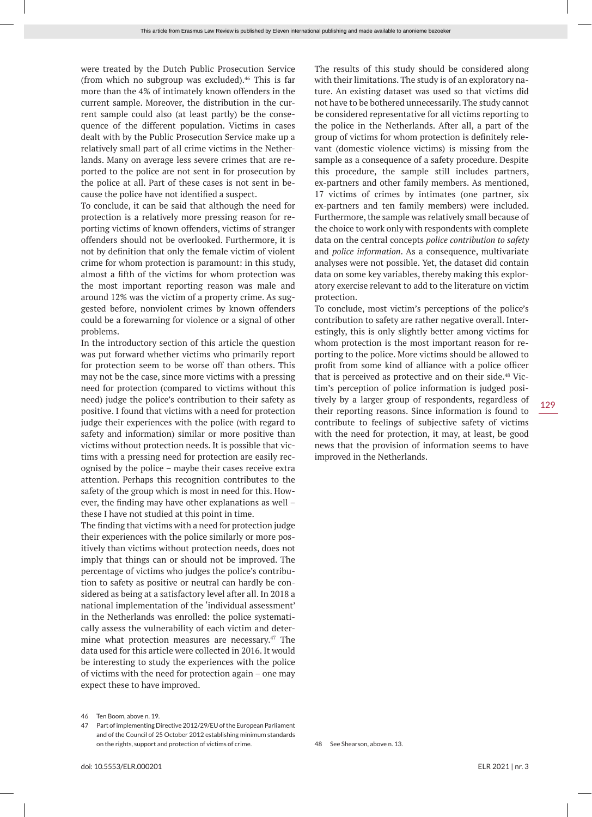were treated by the Dutch Public Prosecution Service (from which no subgroup was excluded).46 This is far more than the 4% of intimately known offenders in the current sample. Moreover, the distribution in the current sample could also (at least partly) be the consequence of the different population. Victims in cases dealt with by the Public Prosecution Service make up a relatively small part of all crime victims in the Netherlands. Many on average less severe crimes that are reported to the police are not sent in for prosecution by the police at all. Part of these cases is not sent in because the police have not identified a suspect.

To conclude, it can be said that although the need for protection is a relatively more pressing reason for reporting victims of known offenders, victims of stranger offenders should not be overlooked. Furthermore, it is not by definition that only the female victim of violent crime for whom protection is paramount: in this study, almost a fifth of the victims for whom protection was the most important reporting reason was male and around 12% was the victim of a property crime. As suggested before, nonviolent crimes by known offenders could be a forewarning for violence or a signal of other problems.

In the introductory section of this article the question was put forward whether victims who primarily report for protection seem to be worse off than others. This may not be the case, since more victims with a pressing need for protection (compared to victims without this need) judge the police's contribution to their safety as positive. I found that victims with a need for protection judge their experiences with the police (with regard to safety and information) similar or more positive than victims without protection needs. It is possible that victims with a pressing need for protection are easily recognised by the police – maybe their cases receive extra attention. Perhaps this recognition contributes to the safety of the group which is most in need for this. However, the finding may have other explanations as well – these I have not studied at this point in time.

The finding that victims with a need for protection judge their experiences with the police similarly or more positively than victims without protection needs, does not imply that things can or should not be improved. The percentage of victims who judges the police's contribution to safety as positive or neutral can hardly be considered as being at a satisfactory level after all. In 2018 a national implementation of the 'individual assessment' in the Netherlands was enrolled: the police systematically assess the vulnerability of each victim and determine what protection measures are necessary.47 The data used for this article were collected in 2016. It would be interesting to study the experiences with the police of victims with the need for protection again – one may expect these to have improved.

The results of this study should be considered along with their limitations. The study is of an exploratory nature. An existing dataset was used so that victims did not have to be bothered unnecessarily. The study cannot be considered representative for all victims reporting to the police in the Netherlands. After all, a part of the group of victims for whom protection is definitely relevant (domestic violence victims) is missing from the sample as a consequence of a safety procedure. Despite this procedure, the sample still includes partners, ex-partners and other family members. As mentioned, 17 victims of crimes by intimates (one partner, six ex-partners and ten family members) were included. Furthermore, the sample was relatively small because of the choice to work only with respondents with complete data on the central concepts *police contribution to safety* and *police information*. As a consequence, multivariate analyses were not possible. Yet, the dataset did contain data on some key variables, thereby making this exploratory exercise relevant to add to the literature on victim protection.

To conclude, most victim's perceptions of the police's contribution to safety are rather negative overall. Interestingly, this is only slightly better among victims for whom protection is the most important reason for reporting to the police. More victims should be allowed to profit from some kind of alliance with a police officer that is perceived as protective and on their side.<sup>48</sup> Victim's perception of police information is judged positively by a larger group of respondents, regardless of their reporting reasons. Since information is found to contribute to feelings of subjective safety of victims with the need for protection, it may, at least, be good news that the provision of information seems to have improved in the Netherlands.

<sup>46</sup> Ten Boom, above n. 19.

<sup>47</sup> Part of implementing Directive 2012/29/EU of the European Parliament and of the Council of 25 October 2012 establishing minimum standards on the rights, support and protection of victims of crime.

<sup>48</sup> See Shearson, above n. 13.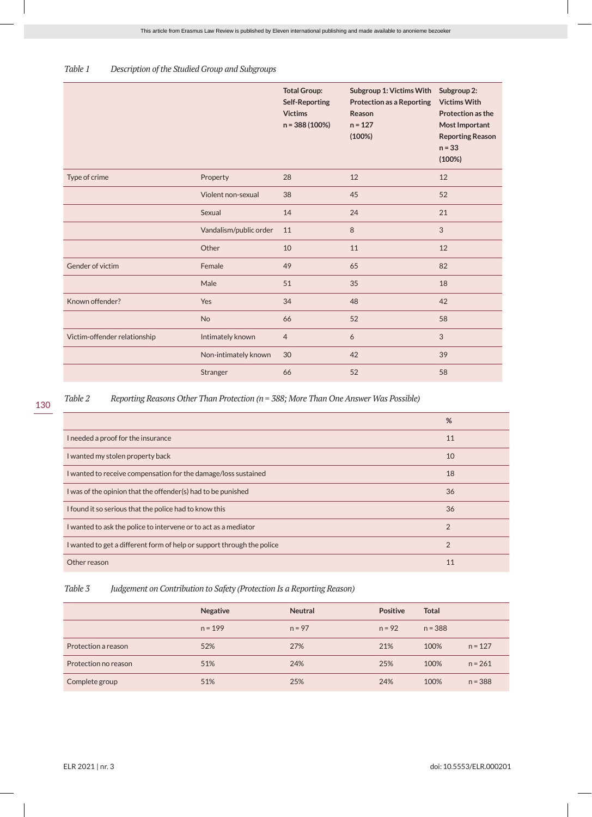#### *Table 1 Description of the Studied Group and Subgroups*

|                              |                        | <b>Total Group:</b><br><b>Self-Reporting</b><br><b>Victims</b><br>n = 388 (100%) | Subgroup 1: Victims With<br><b>Protection as a Reporting</b><br>Reason<br>$n = 127$<br>(100%) | Subgroup 2:<br><b>Victims With</b><br>Protection as the<br><b>Most Important</b><br><b>Reporting Reason</b><br>$n = 33$<br>(100%) |
|------------------------------|------------------------|----------------------------------------------------------------------------------|-----------------------------------------------------------------------------------------------|-----------------------------------------------------------------------------------------------------------------------------------|
| Type of crime                | Property               | 28                                                                               | 12                                                                                            | 12                                                                                                                                |
|                              | Violent non-sexual     | 38                                                                               | 45                                                                                            | 52                                                                                                                                |
|                              | Sexual                 | 14                                                                               | 24                                                                                            | 21                                                                                                                                |
|                              | Vandalism/public order | 11                                                                               | $\,8\,$                                                                                       | $\mathfrak{S}$                                                                                                                    |
|                              | Other                  | 10                                                                               | 11                                                                                            | 12                                                                                                                                |
| Gender of victim             | Female                 | 49                                                                               | 65                                                                                            | 82                                                                                                                                |
|                              | Male                   | 51                                                                               | 35                                                                                            | 18                                                                                                                                |
| Known offender?              | Yes                    | 34                                                                               | 48                                                                                            | 42                                                                                                                                |
|                              | No                     | 66                                                                               | 52                                                                                            | 58                                                                                                                                |
| Victim-offender relationship | Intimately known       | $\overline{4}$                                                                   | 6                                                                                             | $\sqrt{3}$                                                                                                                        |
|                              | Non-intimately known   | 30                                                                               | 42                                                                                            | 39                                                                                                                                |
|                              | Stranger               | 66                                                                               | 52                                                                                            | 58                                                                                                                                |

*Table 2 Reporting Reasons Other Than Protection (n = 388; More Than One Answer Was Possible)*

|                                                                        | %              |
|------------------------------------------------------------------------|----------------|
| I needed a proof for the insurance                                     | 11             |
| I wanted my stolen property back                                       | 10             |
| I wanted to receive compensation for the damage/loss sustained         | 18             |
| I was of the opinion that the offender(s) had to be punished           | 36             |
| I found it so serious that the police had to know this                 | 36             |
| I wanted to ask the police to intervene or to act as a mediator        | $\overline{2}$ |
| I wanted to get a different form of help or support through the police | $\overline{2}$ |
| Other reason                                                           | 11             |

#### *Table 3 Judgement on Contribution to Safety (Protection Is a Reporting Reason)*

|                      | <b>Negative</b> | <b>Neutral</b> | <b>Positive</b> | <b>Total</b> |           |
|----------------------|-----------------|----------------|-----------------|--------------|-----------|
|                      | $n = 199$       | $n = 97$       | $n = 92$        | $n = 388$    |           |
| Protection a reason  | 52%             | 27%            | 21%             | 100%         | $n = 127$ |
| Protection no reason | 51%             | 24%            | 25%             | 100%         | $n = 261$ |
| Complete group       | 51%             | 25%            | 24%             | 100%         | $n = 388$ |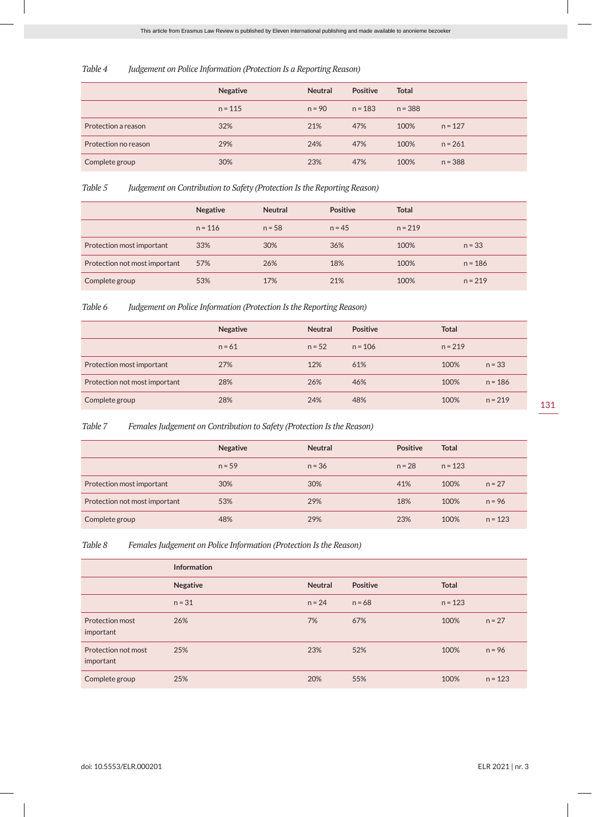#### *Table 4 Judgement on Police Information (Protection Is a Reporting Reason)*

|                      | <b>Negative</b> | <b>Neutral</b> | Positive  | <b>Total</b> |           |
|----------------------|-----------------|----------------|-----------|--------------|-----------|
|                      | $n = 115$       | $n = 90$       | $n = 183$ | $n = 388$    |           |
| Protection a reason  | 32%             | 21%            | 47%       | 100%         | $n = 127$ |
| Protection no reason | 29%             | 24%            | 47%       | 100%         | $n = 261$ |
| Complete group       | 30%             | 23%            | 47%       | 100%         | $n = 388$ |

*Table 5 Judgement on Contribution to Safety (Protection Is the Reporting Reason)*

|                               | <b>Negative</b> | <b>Neutral</b> | <b>Positive</b> | <b>Total</b> |           |
|-------------------------------|-----------------|----------------|-----------------|--------------|-----------|
|                               | $n = 116$       | $n = 58$       | $n = 45$        | $n = 219$    |           |
| Protection most important     | 33%             | 30%            | 36%             | 100%         | $n = 33$  |
| Protection not most important | 57%             | 26%            | 18%             | 100%         | $n = 186$ |
| Complete group                | 53%             | 17%            | 21%             | 100%         | $n = 219$ |

*Table 6 Judgement on Police Information (Protection Is the Reporting Reason)*

|                               | <b>Negative</b> | <b>Neutral</b> | <b>Positive</b> | <b>Total</b> |           |
|-------------------------------|-----------------|----------------|-----------------|--------------|-----------|
|                               | $n = 61$        | $n = 52$       | $n = 106$       | $n = 219$    |           |
| Protection most important     | 27%             | 12%            | 61%             | 100%         | $n = 33$  |
| Protection not most important | 28%             | 26%            | 46%             | 100%         | $n = 186$ |
| Complete group                | 28%             | 24%            | 48%             | 100%         | $n = 219$ |

*Table 7 Females Judgement on Contribution to Safety (Protection Is the Reason)*

|                               | <b>Negative</b> | <b>Neutral</b> | <b>Positive</b> | <b>Total</b> |           |
|-------------------------------|-----------------|----------------|-----------------|--------------|-----------|
|                               | $n = 59$        | $n = 36$       | $n = 28$        | $n = 123$    |           |
| Protection most important     | 30%             | 30%            | 41%             | 100%         | $n = 27$  |
| Protection not most important | 53%             | 29%            | 18%             | 100%         | $n = 96$  |
| Complete group                | 48%             | 29%            | 23%             | 100%         | $n = 123$ |

*Table 8 Females Judgement on Police Information (Protection Is the Reason)*

|                                  | <b>Information</b> |                |          |              |           |
|----------------------------------|--------------------|----------------|----------|--------------|-----------|
|                                  | <b>Negative</b>    | <b>Neutral</b> | Positive | <b>Total</b> |           |
|                                  | $n = 31$           | $n = 24$       | $n = 68$ | $n = 123$    |           |
| Protection most<br>important     | 26%                | 7%             | 67%      | 100%         | $n = 27$  |
| Protection not most<br>important | 25%                | 23%            | 52%      | 100%         | $n = 96$  |
| Complete group                   | 25%                | 20%            | 55%      | 100%         | $n = 123$ |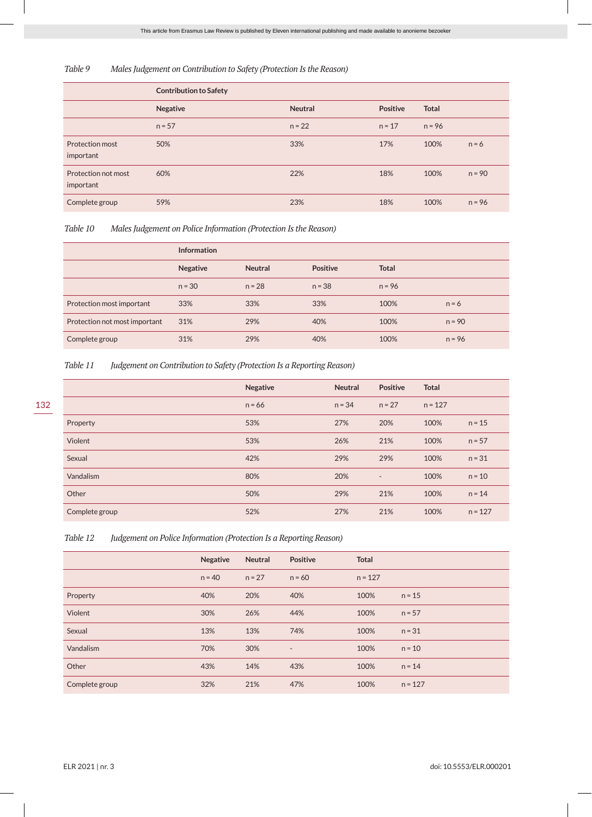*Table 9 Males Judgement on Contribution to Safety (Protection Is the Reason)*

|                                  | <b>Contribution to Safety</b> |                |          |              |          |
|----------------------------------|-------------------------------|----------------|----------|--------------|----------|
|                                  | Negative                      | <b>Neutral</b> | Positive | <b>Total</b> |          |
|                                  | $n = 57$                      | $n = 22$       | $n = 17$ | $n = 96$     |          |
| Protection most<br>important     | 50%                           | 33%            | 17%      | 100%         | $n = 6$  |
| Protection not most<br>important | 60%                           | 22%            | 18%      | 100%         | $n = 90$ |
| Complete group                   | 59%                           | 23%            | 18%      | 100%         | $n = 96$ |

*Table 10 Males Judgement on Police Information (Protection Is the Reason)*

|                               | <b>Information</b> |                |                 |              |          |
|-------------------------------|--------------------|----------------|-----------------|--------------|----------|
|                               | <b>Negative</b>    | <b>Neutral</b> | <b>Positive</b> | <b>Total</b> |          |
|                               | $n = 30$           | $n = 28$       | $n = 38$        | $n = 96$     |          |
| Protection most important     | 33%                | 33%            | 33%             | 100%         | $n = 6$  |
| Protection not most important | 31%                | 29%            | 40%             | 100%         | $n = 90$ |
| Complete group                | 31%                | 29%            | 40%             | 100%         | $n = 96$ |

*Table 11 Judgement on Contribution to Safety (Protection Is a Reporting Reason)*

|                | <b>Negative</b> | <b>Neutral</b> | Positive                 | <b>Total</b> |           |
|----------------|-----------------|----------------|--------------------------|--------------|-----------|
|                | $n = 66$        | $n = 34$       | $n = 27$                 | $n = 127$    |           |
| Property       | 53%             | 27%            | 20%                      | 100%         | $n = 15$  |
| Violent        | 53%             | 26%            | 21%                      | 100%         | $n = 57$  |
| Sexual         | 42%             | 29%            | 29%                      | 100%         | $n = 31$  |
| Vandalism      | 80%             | 20%            | $\overline{\phantom{a}}$ | 100%         | $n = 10$  |
| Other          | 50%             | 29%            | 21%                      | 100%         | $n = 14$  |
| Complete group | 52%             | 27%            | 21%                      | 100%         | $n = 127$ |

| Table 12 | Judgement on Police Information (Protection Is a Reporting Reason) |  |  |  |
|----------|--------------------------------------------------------------------|--|--|--|
|          |                                                                    |  |  |  |

|                | <b>Negative</b> | <b>Neutral</b> | <b>Positive</b>          | <b>Total</b> |           |
|----------------|-----------------|----------------|--------------------------|--------------|-----------|
|                | $n = 40$        | $n = 27$       | $n = 60$                 | $n = 127$    |           |
| Property       | 40%             | 20%            | 40%                      | 100%         | $n = 15$  |
| Violent        | 30%             | 26%            | 44%                      | 100%         | $n = 57$  |
| Sexual         | 13%             | 13%            | 74%                      | 100%         | $n = 31$  |
| Vandalism      | 70%             | 30%            | $\overline{\phantom{a}}$ | 100%         | $n = 10$  |
| Other          | 43%             | 14%            | 43%                      | 100%         | $n = 14$  |
| Complete group | 32%             | 21%            | 47%                      | 100%         | $n = 127$ |